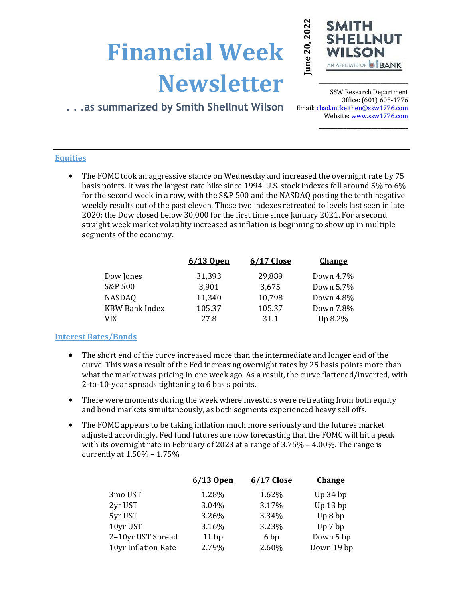# **Financial Week Newsletter**



**\_\_\_\_\_\_\_\_\_\_\_\_\_\_\_\_\_\_\_\_\_\_\_\_\_\_\_\_\_**

# **. . .as summarized by Smith Shellnut Wilson**

SSW Research Department Office: (601) 605-1776 Email: chad.mckeithen@ssw1776.com Website[: www.ssw1776.com](http://www.ssw1776.com/) **\_\_\_\_\_\_\_\_\_\_\_\_\_\_\_\_\_\_\_\_\_\_\_\_\_\_\_\_\_**

## **Equities**

• The FOMC took an aggressive stance on Wednesday and increased the overnight rate by 75 basis points. It was the largest rate hike since 1994. U.S. stock indexes fell around 5% to 6% for the second week in a row, with the S&P 500 and the NASDAQ posting the tenth negative weekly results out of the past eleven. Those two indexes retreated to levels last seen in late 2020; the Dow closed below 30,000 for the first time since January 2021. For a second straight week market volatility increased as inflation is beginning to show up in multiple segments of the economy.

|                       | 6/13 Open | 6/17 Close | <b>Change</b> |
|-----------------------|-----------|------------|---------------|
| Dow Jones             | 31,393    | 29,889     | Down 4.7%     |
| S&P 500               | 3,901     | 3,675      | Down 5.7%     |
| <b>NASDAQ</b>         | 11,340    | 10,798     | Down 4.8%     |
| <b>KBW Bank Index</b> | 105.37    | 105.37     | Down 7.8%     |
| VIX                   | 27.8      | 31.1       | Up 8.2%       |

### **Interest Rates/Bonds**

- The short end of the curve increased more than the intermediate and longer end of the curve. This was a result of the Fed increasing overnight rates by 25 basis points more than what the market was pricing in one week ago. As a result, the curve flattened/inverted, with 2-to-10-year spreads tightening to 6 basis points.
- There were moments during the week where investors were retreating from both equity and bond markets simultaneously, as both segments experienced heavy sell offs.
- The FOMC appears to be taking inflation much more seriously and the futures market adjusted accordingly. Fed fund futures are now forecasting that the FOMC will hit a peak with its overnight rate in February of 2023 at a range of 3.75% – 4.00%. The range is currently at 1.50% – 1.75%

|                     | 6/13 Open | 6/17 Close | <b>Change</b> |
|---------------------|-----------|------------|---------------|
| 3mo UST             | 1.28%     | 1.62%      | $Up$ 34 $bp$  |
| 2yr UST             | 3.04%     | 3.17%      | Up 13 bp      |
| 5yr UST             | 3.26%     | 3.34%      | Up 8 bp       |
| 10yr UST            | 3.16%     | 3.23%      | Up 7 bp       |
| 2-10yr UST Spread   | 11bp      | 6 bp       | Down 5 bp     |
| 10yr Inflation Rate | 2.79%     | 2.60%      | Down 19 bp    |